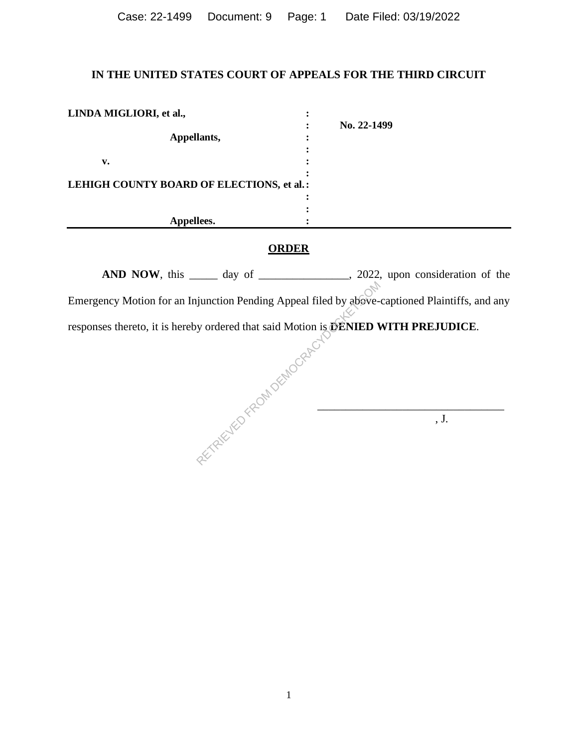| Case: 22-1499 Document: 9 Page: 1 |  | Date Filed: 03/19/2022 |  |
|-----------------------------------|--|------------------------|--|
|                                   |  |                        |  |

# **IN THE UNITED STATES COURT OF APPEALS FOR THE THIRD CIRCUIT**

| LINDA MIGLIORI, et al.,                   |             |
|-------------------------------------------|-------------|
|                                           | No. 22-1499 |
| Appellants,                               |             |
|                                           |             |
| v.                                        |             |
| LEHIGH COUNTY BOARD OF ELECTIONS, et al.: |             |
|                                           |             |
|                                           |             |
| Appellees.                                |             |

## **ORDER**

AND NOW, this \_\_\_\_\_ day of \_\_\_\_\_\_\_\_\_\_\_\_\_, 2022, upon consideration of the Emergency Motion for an Injunction Pending Appeal filed by above-captioned Plaintiffs, and any responses thereto, it is hereby ordered that said Motion is **DENIED WITH PREJUDICE**. signation Pending Appeal filed by above-<br>y ordered that said Motion is **DENIED V**<br>COMPLETED.

 $\circledcirc$  , J.

 $\overline{\phantom{a}}$  , and the contract of the contract of the contract of the contract of the contract of the contract of the contract of the contract of the contract of the contract of the contract of the contract of the contrac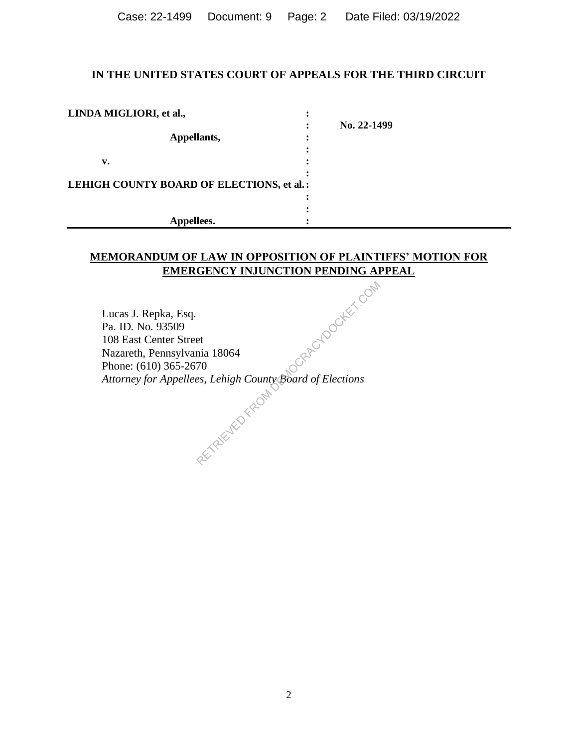Case: 22-1499 Document: 9 Page: 2 Date Filed: 03/19/2022

## **IN THE UNITED STATES COURT OF APPEALS FOR THE THIRD CIRCUIT**

| LINDA MIGLIORI, et al.,                   |             |
|-------------------------------------------|-------------|
|                                           | No. 22-1499 |
| Appellants,                               |             |
|                                           |             |
| v.                                        |             |
|                                           |             |
| LEHIGH COUNTY BOARD OF ELECTIONS, et al.: |             |
|                                           |             |
|                                           |             |
| Appellees.                                |             |

# **MEMORANDUM OF LAW IN OPPOSITION OF PLAINTIFFS' MOTION FOR EMERGENCY INJUNCTION PENDING APPEAL**

Lucas J. Repka, Esq. Pa. ID. No. 93509 108 East Center Street Nazareth, Pennsylvania 18064 Phone: (610) 365-2670<br>Attorney for Appellees, Lehigh County *Attorney for Appellees, Lehigh County Board of Elections* CRAFE-ROOCKEET.COM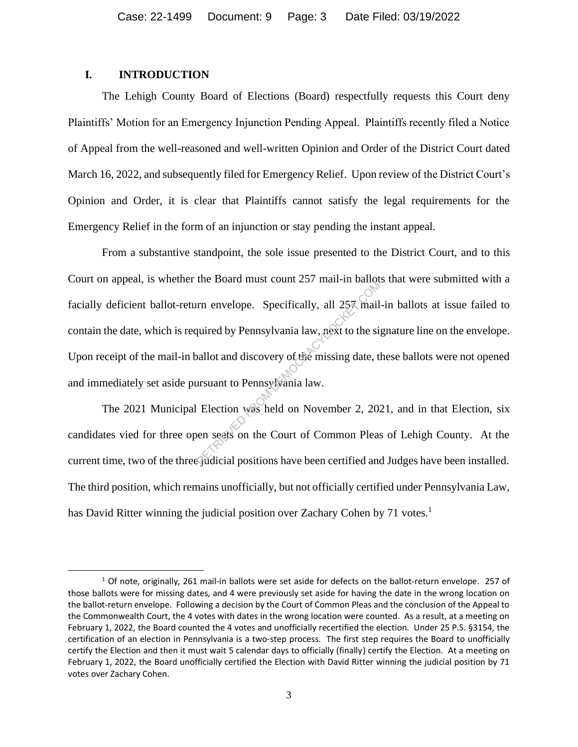## **I. INTRODUCTION**

The Lehigh County Board of Elections (Board) respectfully requests this Court deny Plaintiffs' Motion for an Emergency Injunction Pending Appeal. Plaintiffs recently filed a Notice of Appeal from the well-reasoned and well-written Opinion and Order of the District Court dated March 16, 2022, and subsequently filed for Emergency Relief. Upon review of the District Court's Opinion and Order, it is clear that Plaintiffs cannot satisfy the legal requirements for the Emergency Relief in the form of an injunction or stay pending the instant appeal.

From a substantive standpoint, the sole issue presented to the District Court, and to this Court on appeal, is whether the Board must count 257 mail-in ballots that were submitted with a facially deficient ballot-return envelope. Specifically, all 257 mail-in ballots at issue failed to contain the date, which is required by Pennsylvania law, next to the signature line on the envelope. Upon receipt of the mail-in ballot and discovery of the missing date, these ballots were not opened and immediately set aside pursuant to Pennsylvania law. The Board mast coant 257 man in can<br>permeasured by Pennsylvania law, next to the signal<br>pallot and discovery of the missing date, the signal<br>pallot and discovery of the missing date, the<br>gradient to Pennsylvania law.<br>Elect

The 2021 Municipal Election was held on November 2, 2021, and in that Election, six candidates vied for three open seats on the Court of Common Pleas of Lehigh County. At the current time, two of the three judicial positions have been certified and Judges have been installed. The third position, which remains unofficially, but not officially certified under Pennsylvania Law, has David Ritter winning the judicial position over Zachary Cohen by 71 votes.<sup>1</sup>

 $1$  Of note, originally, 261 mail-in ballots were set aside for defects on the ballot-return envelope. 257 of those ballots were for missing dates, and 4 were previously set aside for having the date in the wrong location on the ballot-return envelope. Following a decision by the Court of Common Pleas and the conclusion of the Appeal to the Commonwealth Court, the 4 votes with dates in the wrong location were counted. As a result, at a meeting on February 1, 2022, the Board counted the 4 votes and unofficially recertified the election. Under 25 P.S. §3154, the certification of an election in Pennsylvania is a two-step process. The first step requires the Board to unofficially certify the Election and then it must wait 5 calendar days to officially (finally) certify the Election. At a meeting on February 1, 2022, the Board unofficially certified the Election with David Ritter winning the judicial position by 71 votes over Zachary Cohen.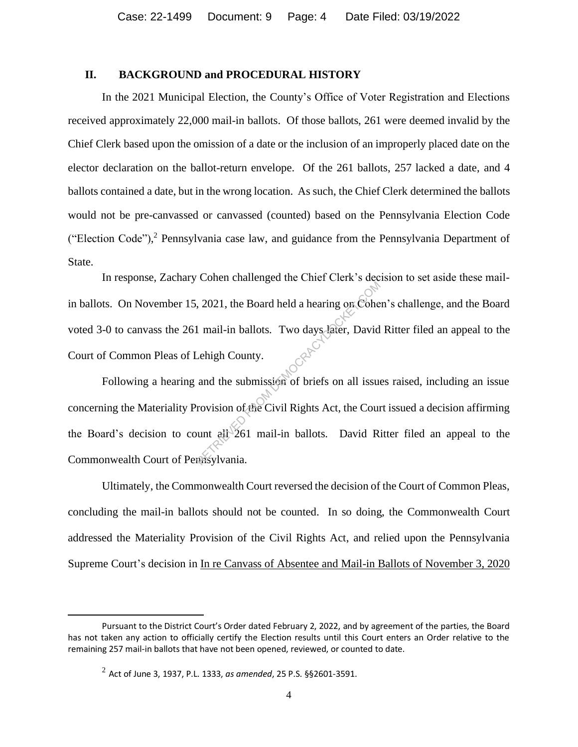## **II. BACKGROUND and PROCEDURAL HISTORY**

In the 2021 Municipal Election, the County's Office of Voter Registration and Elections received approximately 22,000 mail-in ballots. Of those ballots, 261 were deemed invalid by the Chief Clerk based upon the omission of a date or the inclusion of an improperly placed date on the elector declaration on the ballot-return envelope. Of the 261 ballots, 257 lacked a date, and 4 ballots contained a date, but in the wrong location. As such, the Chief Clerk determined the ballots would not be pre-canvassed or canvassed (counted) based on the Pennsylvania Election Code ("Election Code"), <sup>2</sup> Pennsylvania case law, and guidance from the Pennsylvania Department of State.

In response, Zachary Cohen challenged the Chief Clerk's decision to set aside these mailin ballots. On November 15, 2021, the Board held a hearing on Cohen's challenge, and the Board voted 3-0 to canvass the 261 mail-in ballots. Two days later, David Ritter filed an appeal to the Court of Common Pleas of Lehigh County.

Following a hearing and the submission of briefs on all issues raised, including an issue concerning the Materiality Provision of the Civil Rights Act, the Court issued a decision affirming the Board's decision to count all 261 mail-in ballots. David Ritter filed an appeal to the Commonwealth Court of Pennsylvania. RETRIEVED FROM DEATH CHARGES 1.1 THE COMES CORE<br>
1 mail-in ballots. Two days later, David<br>
Lehigh County.<br>
and the submission of briefs on all issue<br>
rovision of the Civil Rights Act, the Count<br>
and the Submission of brie

Ultimately, the Commonwealth Court reversed the decision of the Court of Common Pleas, concluding the mail-in ballots should not be counted. In so doing, the Commonwealth Court addressed the Materiality Provision of the Civil Rights Act, and relied upon the Pennsylvania Supreme Court's decision in In re Canvass of Absentee and Mail-in Ballots of November 3, 2020

Pursuant to the District Court's Order dated February 2, 2022, and by agreement of the parties, the Board has not taken any action to officially certify the Election results until this Court enters an Order relative to the remaining 257 mail-in ballots that have not been opened, reviewed, or counted to date.

<sup>2</sup> Act of June 3, 1937, P.L. 1333, *as amended*, 25 P.S. §§2601-3591.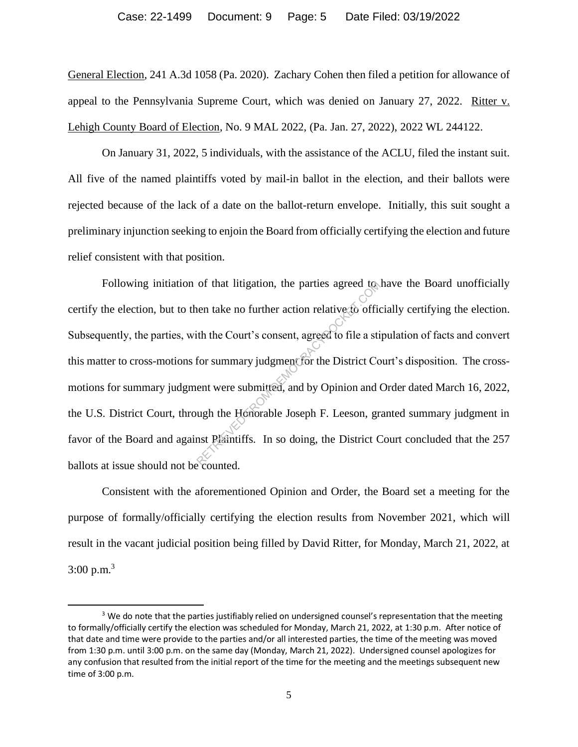General Election, 241 A.3d 1058 (Pa. 2020). Zachary Cohen then filed a petition for allowance of appeal to the Pennsylvania Supreme Court, which was denied on January 27, 2022. Ritter v. Lehigh County Board of Election, No. 9 MAL 2022, (Pa. Jan. 27, 2022), 2022 WL 244122.

On January 31, 2022, 5 individuals, with the assistance of the ACLU, filed the instant suit. All five of the named plaintiffs voted by mail-in ballot in the election, and their ballots were rejected because of the lack of a date on the ballot-return envelope. Initially, this suit sought a preliminary injunction seeking to enjoin the Board from officially certifying the election and future relief consistent with that position.

Following initiation of that litigation, the parties agreed to have the Board unofficially certify the election, but to then take no further action relative to officially certifying the election. Subsequently, the parties, with the Court's consent, agreed to file a stipulation of facts and convert this matter to cross-motions for summary judgment for the District Court's disposition. The crossmotions for summary judgment were submitted, and by Opinion and Order dated March 16, 2022, the U.S. District Court, through the Honorable Joseph F. Leeson, granted summary judgment in favor of the Board and against Plaintiffs. In so doing, the District Court concluded that the 257 ballots at issue should not be counted. of that litigation, the parties agreed to<br>
hen take no further action relative to official<br>
the Court's consent, agreed to file a stiffer summary judgment for the District Co<br>
ent were submitted, and by Opinion and to<br>
ugh

Consistent with the aforementioned Opinion and Order, the Board set a meeting for the purpose of formally/officially certifying the election results from November 2021, which will result in the vacant judicial position being filled by David Ritter, for Monday, March 21, 2022, at  $3:00 \text{ p.m.}^3$ 

<sup>&</sup>lt;sup>3</sup> We do note that the parties justifiably relied on undersigned counsel's representation that the meeting to formally/officially certify the election was scheduled for Monday, March 21, 2022, at 1:30 p.m. After notice of that date and time were provide to the parties and/or all interested parties, the time of the meeting was moved from 1:30 p.m. until 3:00 p.m. on the same day (Monday, March 21, 2022). Undersigned counsel apologizes for any confusion that resulted from the initial report of the time for the meeting and the meetings subsequent new time of 3:00 p.m.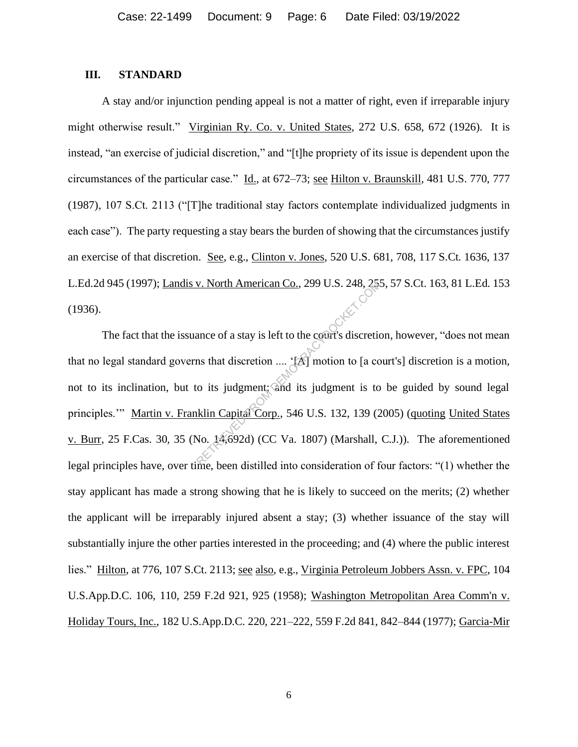#### **III. STANDARD**

A stay and/or injunction pending appeal is not a matter of right, even if irreparable injury might otherwise result." Virginian Ry. Co. v. United States, 272 U.S. 658, 672 (1926). It is instead, "an exercise of judicial discretion," and "[t]he propriety of its issue is dependent upon the circumstances of the particular case." Id., at 672–73; see Hilton v. Braunskill, 481 U.S. 770, 777 (1987), 107 S.Ct. 2113 ("[T]he traditional stay factors contemplate individualized judgments in each case"). The party requesting a stay bears the burden of showing that the circumstances justify an exercise of that discretion. See, e.g., Clinton v. Jones, 520 U.S. 681, 708, 117 S.Ct. 1636, 137 L.Ed.2d 945 (1997); Landis v. North American Co., 299 U.S. 248, 255, 57 S.Ct. 163, 81 L.Ed. 153 (1936).

The fact that the issuance of a stay is left to the court's discretion, however, "does not mean that no legal standard governs that discretion .... '[A] motion to [a court's] discretion is a motion, not to its inclination, but to its judgment; and its judgment is to be guided by sound legal principles." Martin v. Franklin Capital Corp., 546 U.S. 132, 139 (2005) (quoting United States v. Burr, 25 F.Cas. 30, 35 (No. 14,692d) (CC Va. 1807) (Marshall, C.J.)). The aforementioned legal principles have, over time, been distilled into consideration of four factors: "(1) whether the stay applicant has made a strong showing that he is likely to succeed on the merits; (2) whether the applicant will be irreparably injured absent a stay; (3) whether issuance of the stay will substantially injure the other parties interested in the proceeding; and (4) where the public interest lies." Hilton, at 776, 107 S.Ct. 2113; see also, e.g., Virginia Petroleum Jobbers Assn. v. FPC, 104 U.S.App.D.C. 106, 110, 259 F.2d 921, 925 (1958); Washington Metropolitan Area Comm'n v. Holiday Tours, Inc., 182 U.S.App.D.C. 220, 221–222, 559 F.2d 841, 842–844 (1977); Garcia-Mir RETRIEVED FROM DEMOCRACYDOCKET.COM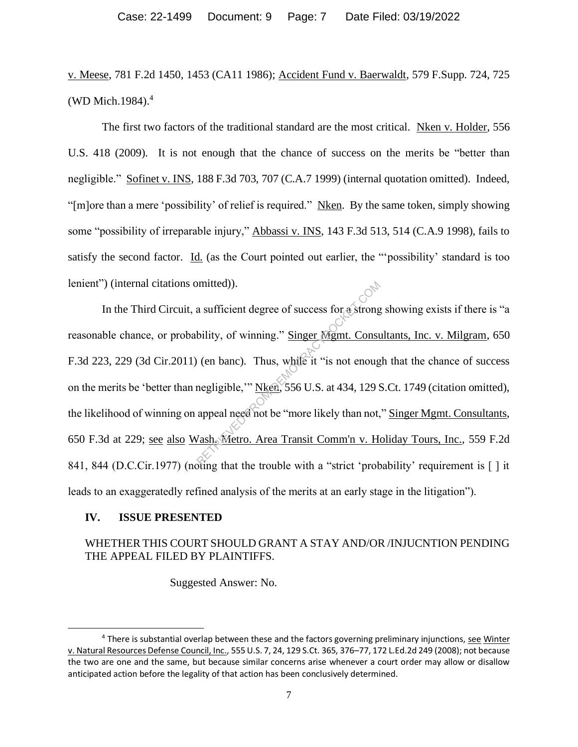v. Meese, 781 F.2d 1450, 1453 (CA11 1986); Accident Fund v. Baerwaldt, 579 F.Supp. 724, 725 (WD Mich.1984). 4

The first two factors of the traditional standard are the most critical. Nken v. Holder, 556 U.S. 418 (2009). It is not enough that the chance of success on the merits be "better than negligible." Sofinet v. INS, 188 F.3d 703, 707 (C.A.7 1999) (internal quotation omitted). Indeed, "[m]ore than a mere 'possibility' of relief is required." Nken. By the same token, simply showing some "possibility of irreparable injury," Abbassi v. INS, 143 F.3d 513, 514 (C.A.9 1998), fails to satisfy the second factor. Id. (as the Court pointed out earlier, the "'possibility' standard is too lenient") (internal citations omitted)).

In the Third Circuit, a sufficient degree of success for a strong showing exists if there is "a reasonable chance, or probability, of winning." Singer Mgmt. Consultants, Inc. v. Milgram, 650 F.3d 223, 229 (3d Cir.2011) (en banc). Thus, while it "is not enough that the chance of success on the merits be 'better than negligible,'" Nken, 556 U.S. at 434, 129 S.Ct. 1749 (citation omitted), the likelihood of winning on appeal need not be "more likely than not," Singer Mgmt. Consultants, 650 F.3d at 229; see also Wash. Metro. Area Transit Comm'n v. Holiday Tours, Inc., 559 F.2d 841, 844 (D.C.Cir.1977) (noting that the trouble with a "strict 'probability' requirement is [] it leads to an exaggeratedly refined analysis of the merits at an early stage in the litigation"). a sufficient degree of success for a strong<br>bility, of winning." Singer Mgmt. Consulation (en banc). Thus, while it "is not enougonegligible," Nken, 556 U.S. at 434, 129 S<br>appeal need not be "more likely than not,  $\frac{7 \text$ 

#### **IV. ISSUE PRESENTED**

# WHETHER THIS COURT SHOULD GRANT A STAY AND/OR /INJUCNTION PENDING THE APPEAL FILED BY PLAINTIFFS.

Suggested Answer: No.

<sup>&</sup>lt;sup>4</sup> There is substantial overlap between these and the factors governing preliminary injunctions, see Winter v. Natural Resources Defense Council, Inc., 555 U.S. 7, 24, 129 S.Ct. 365, 376–77, 172 L.Ed.2d 249 (2008); not because the two are one and the same, but because similar concerns arise whenever a court order may allow or disallow anticipated action before the legality of that action has been conclusively determined.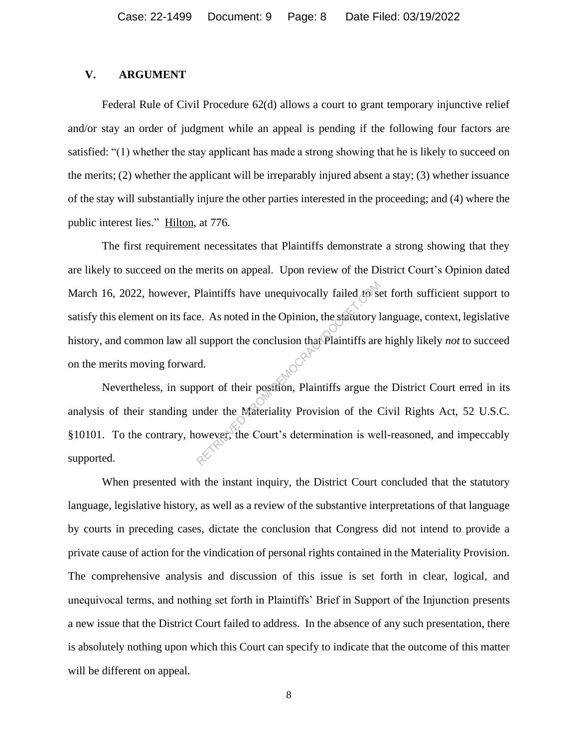#### **V. ARGUMENT**

Federal Rule of Civil Procedure 62(d) allows a court to grant temporary injunctive relief and/or stay an order of judgment while an appeal is pending if the following four factors are satisfied: "(1) whether the stay applicant has made a strong showing that he is likely to succeed on the merits; (2) whether the applicant will be irreparably injured absent a stay; (3) whether issuance of the stay will substantially injure the other parties interested in the proceeding; and (4) where the public interest lies." Hilton, at 776.

The first requirement necessitates that Plaintiffs demonstrate a strong showing that they are likely to succeed on the merits on appeal. Upon review of the District Court's Opinion dated March 16, 2022, however, Plaintiffs have unequivocally failed to set forth sufficient support to satisfy this element on its face. As noted in the Opinion, the statutory language, context, legislative history, and common law all support the conclusion that Plaintiffs are highly likely *not* to succeed on the merits moving forward. Plaintiffs have unequivocally failed to see.<br>
e. As noted in the Opinion, the statutory l<br>
support the conclusion that Plaintiffs are<br>
d.<br>
port of their position, Plaintiffs argue the<br>
under the Materiality Provision of th

Nevertheless, in support of their position, Plaintiffs argue the District Court erred in its analysis of their standing under the Materiality Provision of the Civil Rights Act, 52 U.S.C. §10101. To the contrary, however, the Court's determination is well-reasoned, and impeccably supported.

When presented with the instant inquiry, the District Court concluded that the statutory language, legislative history, as well as a review of the substantive interpretations of that language by courts in preceding cases, dictate the conclusion that Congress did not intend to provide a private cause of action for the vindication of personal rights contained in the Materiality Provision. The comprehensive analysis and discussion of this issue is set forth in clear, logical, and unequivocal terms, and nothing set forth in Plaintiffs' Brief in Support of the Injunction presents a new issue that the District Court failed to address. In the absence of any such presentation, there is absolutely nothing upon which this Court can specify to indicate that the outcome of this matter will be different on appeal.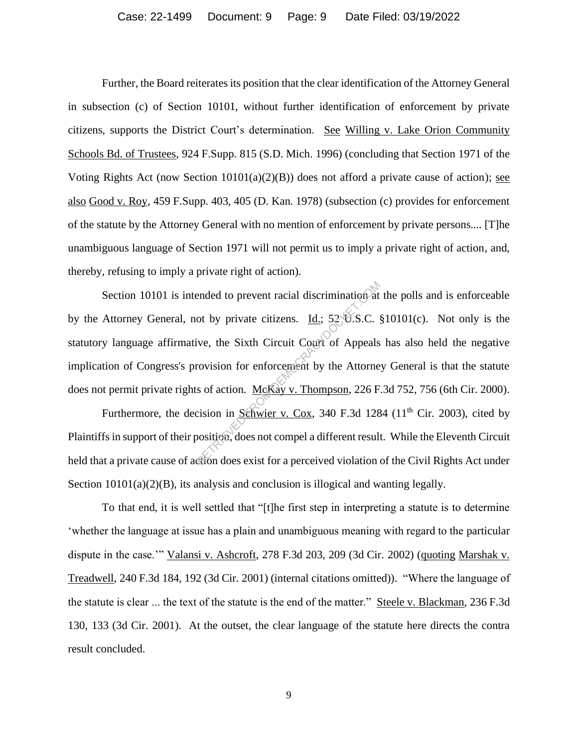Further, the Board reiterates its position that the clear identification of the Attorney General in subsection (c) of Section 10101, without further identification of enforcement by private citizens, supports the District Court's determination. See Willing v. Lake Orion Community Schools Bd. of Trustees, 924 F.Supp. 815 (S.D. Mich. 1996) (concluding that Section 1971 of the Voting Rights Act (now Section  $10101(a)(2)(B)$ ) does not afford a private cause of action); see also Good v. Roy, 459 F.Supp. 403, 405 (D. Kan. 1978) (subsection (c) provides for enforcement of the statute by the Attorney General with no mention of enforcement by private persons.... [T]he unambiguous language of Section 1971 will not permit us to imply a private right of action, and, thereby, refusing to imply a private right of action).

Section 10101 is intended to prevent racial discrimination at the polls and is enforceable by the Attorney General, not by private citizens. Id.; 52 U.S.C. §10101(c). Not only is the statutory language affirmative, the Sixth Circuit Court of Appeals has also held the negative implication of Congress's provision for enforcement by the Attorney General is that the statute does not permit private rights of action. McKay v. Thompson, 226 F.3d 752, 756 (6th Cir. 2000). ended to prevent racial discrimination at<br>ot by private citizens. <u>Id.</u>; 52 U.S.C. s<br>ive, the Sixth Circuit Court of Appeals<br>rovision for enforcement by the Attorne<br>s of action. <u>McKay v. Thompson</u>, 226 F<br>cision in Schwie

Furthermore, the decision in Schwier v. Cox, 340 F.3d 1284 ( $11<sup>th</sup>$  Cir. 2003), cited by Plaintiffs in support of their position, does not compel a different result. While the Eleventh Circuit held that a private cause of action does exist for a perceived violation of the Civil Rights Act under Section  $10101(a)(2)(B)$ , its analysis and conclusion is illogical and wanting legally.

To that end, it is well settled that "[t]he first step in interpreting a statute is to determine 'whether the language at issue has a plain and unambiguous meaning with regard to the particular dispute in the case."" Valansi v. Ashcroft, 278 F.3d 203, 209 (3d Cir. 2002) (quoting Marshak v. Treadwell, 240 F.3d 184, 192 (3d Cir. 2001) (internal citations omitted)). "Where the language of the statute is clear ... the text of the statute is the end of the matter." Steele v. Blackman, 236 F.3d 130, 133 (3d Cir. 2001). At the outset, the clear language of the statute here directs the contra result concluded.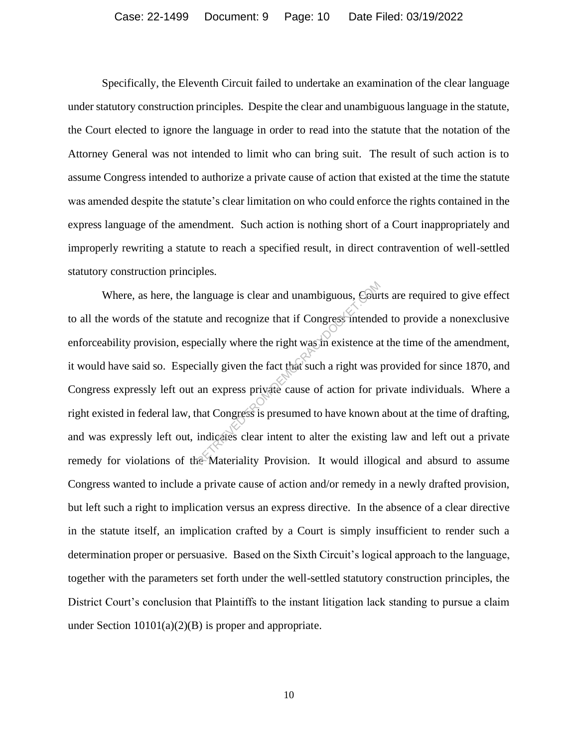Specifically, the Eleventh Circuit failed to undertake an examination of the clear language under statutory construction principles. Despite the clear and unambiguous language in the statute, the Court elected to ignore the language in order to read into the statute that the notation of the Attorney General was not intended to limit who can bring suit. The result of such action is to assume Congress intended to authorize a private cause of action that existed at the time the statute was amended despite the statute's clear limitation on who could enforce the rights contained in the express language of the amendment. Such action is nothing short of a Court inappropriately and improperly rewriting a statute to reach a specified result, in direct contravention of well-settled statutory construction principles.

Where, as here, the language is clear and unambiguous, Courts are required to give effect to all the words of the statute and recognize that if Congress intended to provide a nonexclusive enforceability provision, especially where the right was in existence at the time of the amendment, it would have said so. Especially given the fact that such a right was provided for since 1870, and Congress expressly left out an express private cause of action for private individuals. Where a right existed in federal law, that Congress is presumed to have known about at the time of drafting, and was expressly left out, indicates clear intent to alter the existing law and left out a private remedy for violations of the Materiality Provision. It would illogical and absurd to assume Congress wanted to include a private cause of action and/or remedy in a newly drafted provision, but left such a right to implication versus an express directive. In the absence of a clear directive in the statute itself, an implication crafted by a Court is simply insufficient to render such a determination proper or persuasive. Based on the Sixth Circuit's logical approach to the language, together with the parameters set forth under the well-settled statutory construction principles, the District Court's conclusion that Plaintiffs to the instant litigation lack standing to pursue a claim under Section 10101(a)(2)(B) is proper and appropriate. anguage is clear and unambiguous, Cour<br>te and recognize that if Congress intende<br>ecially where the right was in existence a<br>cially given the fact that such a right was<br>an express private cause of action for p<br>hat Congress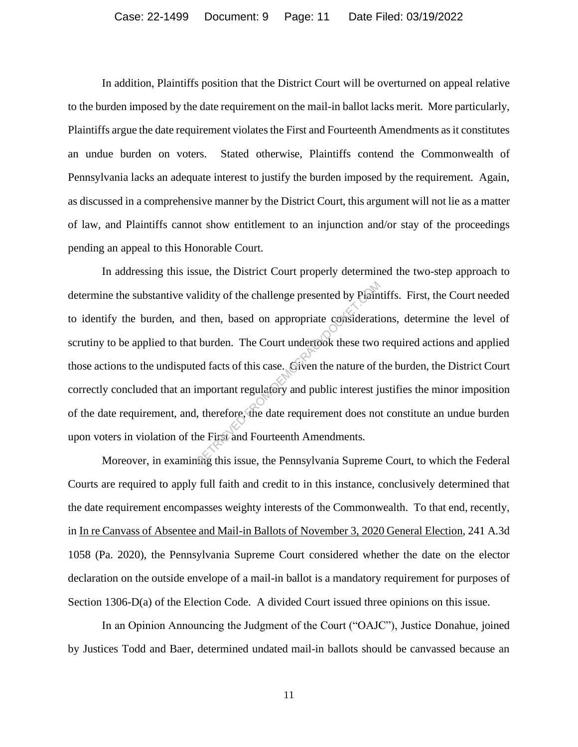In addition, Plaintiffs position that the District Court will be overturned on appeal relative to the burden imposed by the date requirement on the mail-in ballot lacks merit. More particularly, Plaintiffs argue the date requirement violates the First and Fourteenth Amendments as it constitutes an undue burden on voters. Stated otherwise, Plaintiffs contend the Commonwealth of Pennsylvania lacks an adequate interest to justify the burden imposed by the requirement. Again, as discussed in a comprehensive manner by the District Court, this argument will not lie as a matter of law, and Plaintiffs cannot show entitlement to an injunction and/or stay of the proceedings pending an appeal to this Honorable Court.

In addressing this issue, the District Court properly determined the two-step approach to determine the substantive validity of the challenge presented by Plaintiffs. First, the Court needed to identify the burden, and then, based on appropriate considerations, determine the level of scrutiny to be applied to that burden. The Court undertook these two required actions and applied those actions to the undisputed facts of this case. Given the nature of the burden, the District Court correctly concluded that an important regulatory and public interest justifies the minor imposition of the date requirement, and, therefore, the date requirement does not constitute an undue burden upon voters in violation of the First and Fourteenth Amendments. lidity of the challenge presented by Plain<br>then, based on appropriate considerati<br>burden. The Court undertook these two<br>ed facts of this case. Given the nature of t<br>mportant regulatory and public interest ju<br>therefore, the

Moreover, in examining this issue, the Pennsylvania Supreme Court, to which the Federal Courts are required to apply full faith and credit to in this instance, conclusively determined that the date requirement encompasses weighty interests of the Commonwealth. To that end, recently, in In re Canvass of Absentee and Mail-in Ballots of November 3, 2020 General Election, 241 A.3d 1058 (Pa. 2020), the Pennsylvania Supreme Court considered whether the date on the elector declaration on the outside envelope of a mail-in ballot is a mandatory requirement for purposes of Section 1306-D(a) of the Election Code. A divided Court issued three opinions on this issue.

In an Opinion Announcing the Judgment of the Court ("OAJC"), Justice Donahue, joined by Justices Todd and Baer, determined undated mail-in ballots should be canvassed because an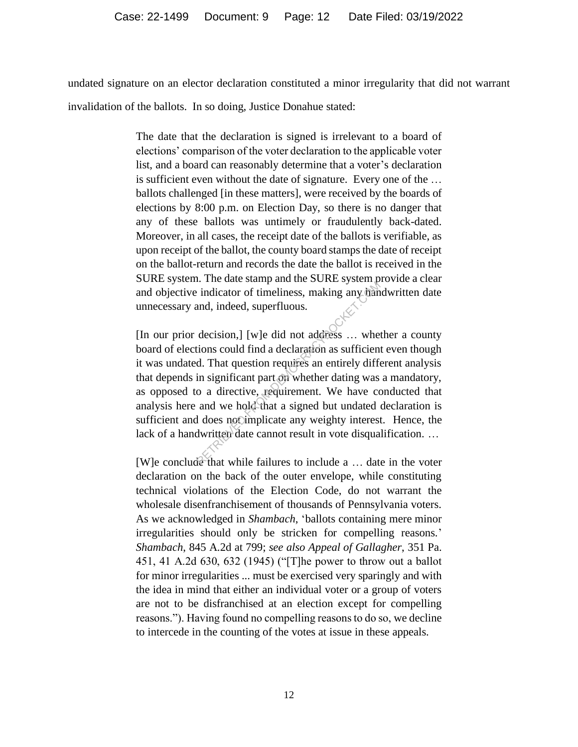undated signature on an elector declaration constituted a minor irregularity that did not warrant invalidation of the ballots. In so doing, Justice Donahue stated:

> The date that the declaration is signed is irrelevant to a board of elections' comparison of the voter declaration to the applicable voter list, and a board can reasonably determine that a voter's declaration is sufficient even without the date of signature. Every one of the … ballots challenged [in these matters], were received by the boards of elections by 8:00 p.m. on Election Day, so there is no danger that any of these ballots was untimely or fraudulently back-dated. Moreover, in all cases, the receipt date of the ballots is verifiable, as upon receipt of the ballot, the county board stamps the date of receipt on the ballot-return and records the date the ballot is received in the SURE system. The date stamp and the SURE system provide a clear and objective indicator of timeliness, making any handwritten date unnecessary and, indeed, superfluous.

> [In our prior decision,] [w]e did not address … whether a county board of elections could find a declaration as sufficient even though it was undated. That question requires an entirely different analysis that depends in significant part on whether dating was a mandatory, as opposed to a directive, requirement. We have conducted that analysis here and we hold that a signed but undated declaration is sufficient and does not implicate any weighty interest. Hence, the lack of a handwritten date cannot result in vote disqualification. … Reflection of timeliness, making any hand, indeed, superfluous.<br>
> decision,] [w]e did not address ... where<br>
> decision,] [w]e did not address ... where<br>
> d. That question requires an entirely different<br>
> d. That question requi

> [W]e conclude that while failures to include a … date in the voter declaration on the back of the outer envelope, while constituting technical violations of the Election Code, do not warrant the wholesale disenfranchisement of thousands of Pennsylvania voters. As we acknowledged in *Shambach*, 'ballots containing mere minor irregularities should only be stricken for compelling reasons.' *Shambach*, 845 A.2d at 799; *see also Appeal of Gallagher*, 351 Pa. 451, 41 A.2d 630, 632 (1945) ("[T]he power to throw out a ballot for minor irregularities ... must be exercised very sparingly and with the idea in mind that either an individual voter or a group of voters are not to be disfranchised at an election except for compelling reasons."). Having found no compelling reasons to do so, we decline to intercede in the counting of the votes at issue in these appeals.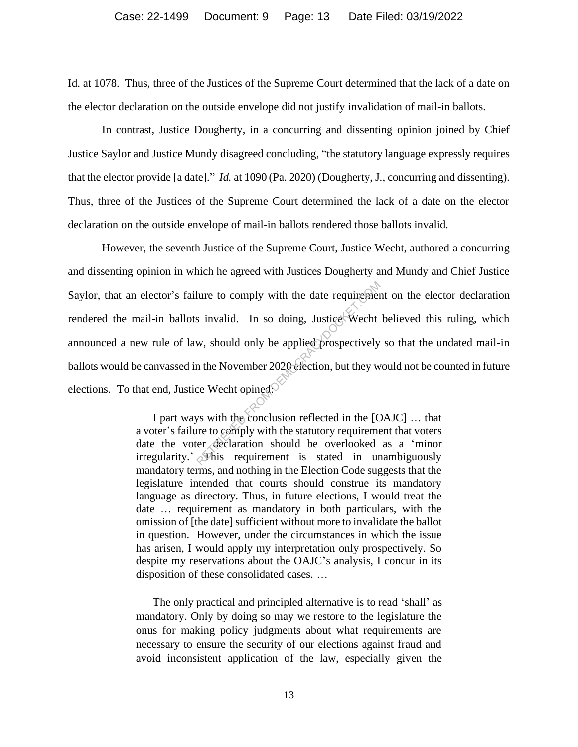Id. at 1078. Thus, three of the Justices of the Supreme Court determined that the lack of a date on the elector declaration on the outside envelope did not justify invalidation of mail-in ballots.

In contrast, Justice Dougherty, in a concurring and dissenting opinion joined by Chief Justice Saylor and Justice Mundy disagreed concluding, "the statutory language expressly requires that the elector provide [a date]." *Id.* at 1090 (Pa. 2020) (Dougherty, J., concurring and dissenting). Thus, three of the Justices of the Supreme Court determined the lack of a date on the elector declaration on the outside envelope of mail-in ballots rendered those ballots invalid.

However, the seventh Justice of the Supreme Court, Justice Wecht, authored a concurring and dissenting opinion in which he agreed with Justices Dougherty and Mundy and Chief Justice Saylor, that an elector's failure to comply with the date requirement on the elector declaration rendered the mail-in ballots invalid. In so doing, Justice Wecht believed this ruling, which announced a new rule of law, should only be applied prospectively so that the undated mail-in ballots would be canvassed in the November 2020 election, but they would not be counted in future elections. To that end, Justice Wecht opined<sup>.</sup> From the date requirement<br>
Social From Society and Society<br>
Returnal Complete Street Weekt<br>
We should only be applied prospectively<br>
The November 2020 election, but they we<br>
ce Weekt opined.<br>
Social From Social From the EQ

I part ways with the conclusion reflected in the [OAJC] … that a voter's failure to comply with the statutory requirement that voters date the voter declaration should be overlooked as a 'minor irregularity.'  $\delta$ This requirement is stated in unambiguously mandatory terms, and nothing in the Election Code suggests that the legislature intended that courts should construe its mandatory language as directory. Thus, in future elections, I would treat the date … requirement as mandatory in both particulars, with the omission of [the date] sufficient without more to invalidate the ballot in question. However, under the circumstances in which the issue has arisen, I would apply my interpretation only prospectively. So despite my reservations about the OAJC's analysis, I concur in its disposition of these consolidated cases. …

The only practical and principled alternative is to read 'shall' as mandatory. Only by doing so may we restore to the legislature the onus for making policy judgments about what requirements are necessary to ensure the security of our elections against fraud and avoid inconsistent application of the law, especially given the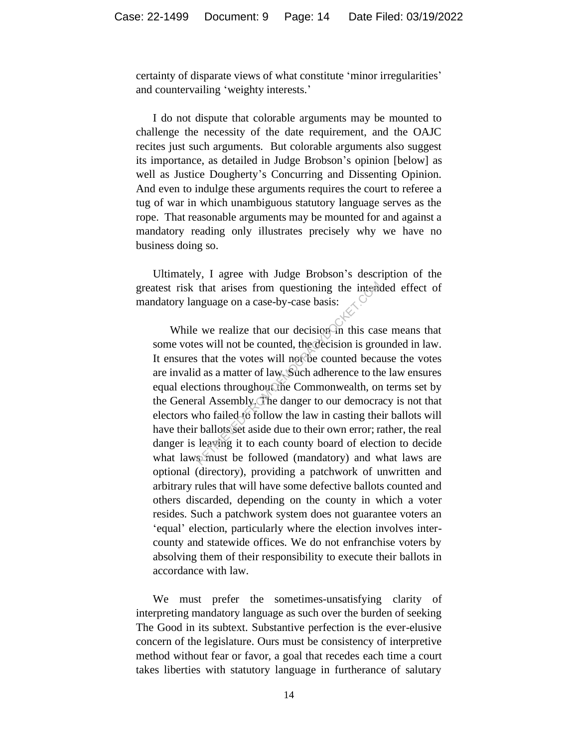certainty of disparate views of what constitute 'minor irregularities' and countervailing 'weighty interests.'

I do not dispute that colorable arguments may be mounted to challenge the necessity of the date requirement, and the OAJC recites just such arguments. But colorable arguments also suggest its importance, as detailed in Judge Brobson's opinion [below] as well as Justice Dougherty's Concurring and Dissenting Opinion. And even to indulge these arguments requires the court to referee a tug of war in which unambiguous statutory language serves as the rope. That reasonable arguments may be mounted for and against a mandatory reading only illustrates precisely why we have no business doing so.

Ultimately, I agree with Judge Brobson's description of the greatest risk that arises from questioning the intended effect of mandatory language on a case-by-case basis:

While we realize that our decision in this case means that some votes will not be counted, the decision is grounded in law. It ensures that the votes will not be counted because the votes are invalid as a matter of law. Such adherence to the law ensures equal elections throughout the Commonwealth, on terms set by the General Assembly. The danger to our democracy is not that electors who failed to follow the law in casting their ballots will have their ballots set aside due to their own error; rather, the real danger is leaving it to each county board of election to decide what laws must be followed (mandatory) and what laws are optional (directory), providing a patchwork of unwritten and arbitrary rules that will have some defective ballots counted and others discarded, depending on the county in which a voter resides. Such a patchwork system does not guarantee voters an 'equal' election, particularly where the election involves intercounty and statewide offices. We do not enfranchise voters by absolving them of their responsibility to execute their ballots in accordance with law. that arises from questioning the interary<br>nguage on a case-by-case basis:<br><br><br><br><br><br><br><br> : we realize that our decision-in this cases will not be counted, the<br>decision is groups<br><br><br><br> : that the votes will not be counted becaded<br><br><br>

We must prefer the sometimes-unsatisfying clarity of interpreting mandatory language as such over the burden of seeking The Good in its subtext. Substantive perfection is the ever-elusive concern of the legislature. Ours must be consistency of interpretive method without fear or favor, a goal that recedes each time a court takes liberties with statutory language in furtherance of salutary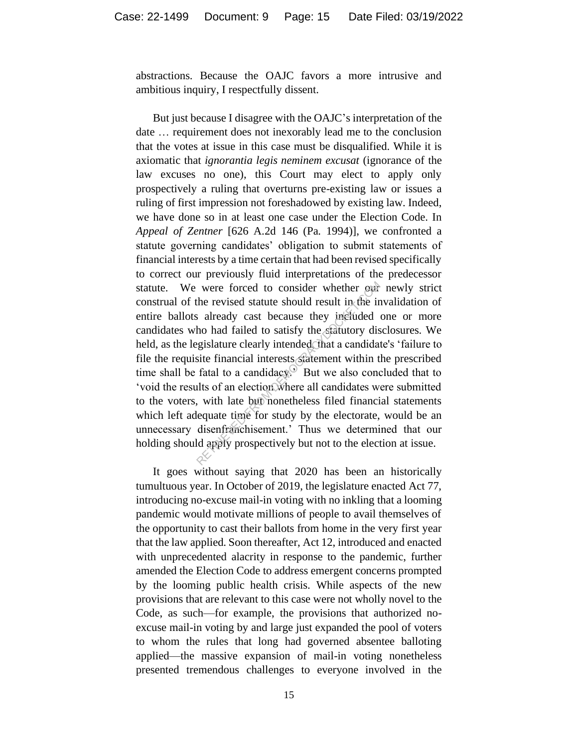abstractions. Because the OAJC favors a more intrusive and ambitious inquiry, I respectfully dissent.

But just because I disagree with the OAJC's interpretation of the date … requirement does not inexorably lead me to the conclusion that the votes at issue in this case must be disqualified. While it is axiomatic that *ignorantia legis neminem excusat* (ignorance of the law excuses no one), this Court may elect to apply only prospectively a ruling that overturns pre-existing law or issues a ruling of first impression not foreshadowed by existing law. Indeed, we have done so in at least one case under the Election Code. In *Appeal of Zentner* [626 A.2d 146 (Pa. 1994)], we confronted a statute governing candidates' obligation to submit statements of financial interests by a time certain that had been revised specifically to correct our previously fluid interpretations of the predecessor statute. We were forced to consider whether our newly strict construal of the revised statute should result in the invalidation of entire ballots already cast because they included one or more candidates who had failed to satisfy the statutory disclosures. We held, as the legislature clearly intended, that a candidate's 'failure to file the requisite financial interests statement within the prescribed time shall be fatal to a candidacy.<sup>3</sup> But we also concluded that to 'void the results of an election where all candidates were submitted to the voters, with late but nonetheless filed financial statements which left adequate time for study by the electorate, would be an unnecessary disenfranchisement.' Thus we determined that our holding should apply prospectively but not to the election at issue. were forced to consider whether our<br>the revised statute should result in the ir<br>is already cast because they included<br>ho had failed to satisfy the statutory dis-<br>gislature clearly intended that a candida-<br>site financial in

It goes without saying that 2020 has been an historically tumultuous year. In October of 2019, the legislature enacted Act 77, introducing no-excuse mail-in voting with no inkling that a looming pandemic would motivate millions of people to avail themselves of the opportunity to cast their ballots from home in the very first year that the law applied. Soon thereafter, Act 12, introduced and enacted with unprecedented alacrity in response to the pandemic, further amended the Election Code to address emergent concerns prompted by the looming public health crisis. While aspects of the new provisions that are relevant to this case were not wholly novel to the Code, as such—for example, the provisions that authorized noexcuse mail-in voting by and large just expanded the pool of voters to whom the rules that long had governed absentee balloting applied—the massive expansion of mail-in voting nonetheless presented tremendous challenges to everyone involved in the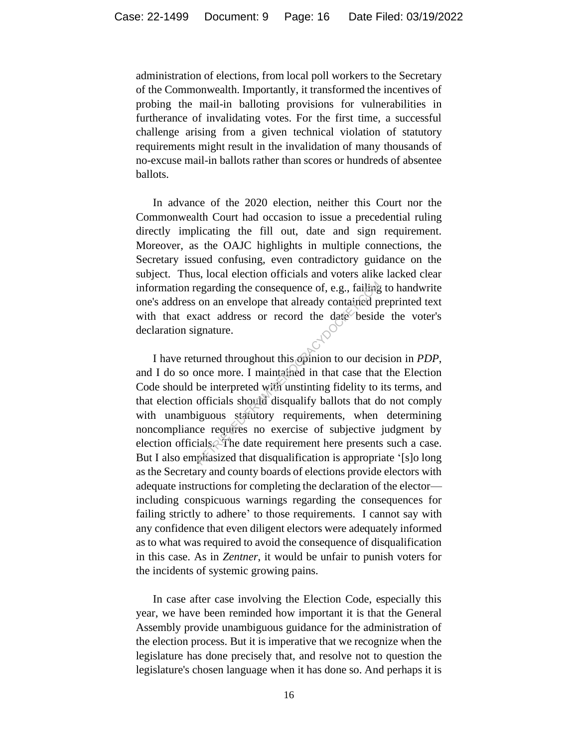administration of elections, from local poll workers to the Secretary of the Commonwealth. Importantly, it transformed the incentives of probing the mail-in balloting provisions for vulnerabilities in furtherance of invalidating votes. For the first time, a successful challenge arising from a given technical violation of statutory requirements might result in the invalidation of many thousands of no-excuse mail-in ballots rather than scores or hundreds of absentee ballots.

In advance of the 2020 election, neither this Court nor the Commonwealth Court had occasion to issue a precedential ruling directly implicating the fill out, date and sign requirement. Moreover, as the OAJC highlights in multiple connections, the Secretary issued confusing, even contradictory guidance on the subject. Thus, local election officials and voters alike lacked clear information regarding the consequence of, e.g., failing to handwrite one's address on an envelope that already contained preprinted text with that exact address or record the date beside the voter's declaration signature.

I have returned throughout this opinion to our decision in *PDP*, and I do so once more. I maintained in that case that the Election Code should be interpreted with unstinting fidelity to its terms, and that election officials should disqualify ballots that do not comply with unambiguous statutory requirements, when determining noncompliance requires no exercise of subjective judgment by election officials. The date requirement here presents such a case. But I also emphasized that disqualification is appropriate '[s]o long as the Secretary and county boards of elections provide electors with adequate instructions for completing the declaration of the elector including conspicuous warnings regarding the consequences for failing strictly to adhere' to those requirements. I cannot say with any confidence that even diligent electors were adequately informed as to what was required to avoid the consequence of disqualification in this case. As in *Zentner*, it would be unfair to punish voters for the incidents of systemic growing pains. egarding the consequence of, e.g., failing<br>on an envelope that already contained p<br>act address or record the date beside<br>gnature.<br>urned throughout this opinion to our dec<br>once more. I maintained in that case that<br>be interp

In case after case involving the Election Code, especially this year, we have been reminded how important it is that the General Assembly provide unambiguous guidance for the administration of the election process. But it is imperative that we recognize when the legislature has done precisely that, and resolve not to question the legislature's chosen language when it has done so. And perhaps it is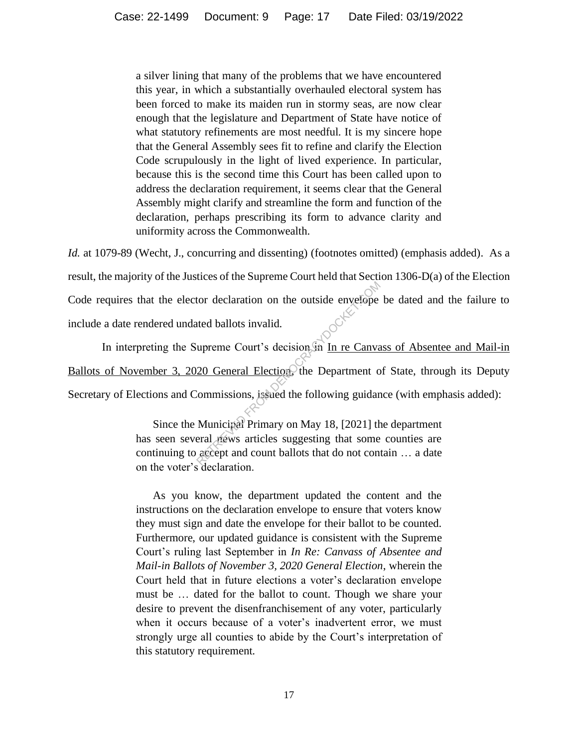a silver lining that many of the problems that we have encountered this year, in which a substantially overhauled electoral system has been forced to make its maiden run in stormy seas, are now clear enough that the legislature and Department of State have notice of what statutory refinements are most needful. It is my sincere hope that the General Assembly sees fit to refine and clarify the Election Code scrupulously in the light of lived experience. In particular, because this is the second time this Court has been called upon to address the declaration requirement, it seems clear that the General Assembly might clarify and streamline the form and function of the declaration, perhaps prescribing its form to advance clarity and uniformity across the Commonwealth.

*Id.* at 1079-89 (Wecht, J., concurring and dissenting) (footnotes omitted) (emphasis added). As a result, the majority of the Justices of the Supreme Court held that Section 1306-D(a) of the Election Code requires that the elector declaration on the outside envelope be dated and the failure to include a date rendered undated ballots invalid.

In interpreting the Supreme Court's decision in In re Canvass of Absentee and Mail-in Ballots of November 3, 2020 General Election, the Department of State, through its Deputy Secretary of Elections and Commissions, issued the following guidance (with emphasis added): From declaration on the outside envelope<br>the ballots invalid.<br>upreme Court's decision in In re Canva<br>20 General Election, the Department of<br>commissions, issued the following guidar<br>Municipal Primary on May 18, [2021] the<br>r

Since the Municipal Primary on May 18, [2021] the department has seen several news articles suggesting that some counties are continuing to accept and count ballots that do not contain … a date on the voter's declaration.

As you know, the department updated the content and the instructions on the declaration envelope to ensure that voters know they must sign and date the envelope for their ballot to be counted. Furthermore, our updated guidance is consistent with the Supreme Court's ruling last September in *In Re: Canvass of Absentee and Mail-in Ballots of November 3, 2020 General Election*, wherein the Court held that in future elections a voter's declaration envelope must be … dated for the ballot to count. Though we share your desire to prevent the disenfranchisement of any voter, particularly when it occurs because of a voter's inadvertent error, we must strongly urge all counties to abide by the Court's interpretation of this statutory requirement.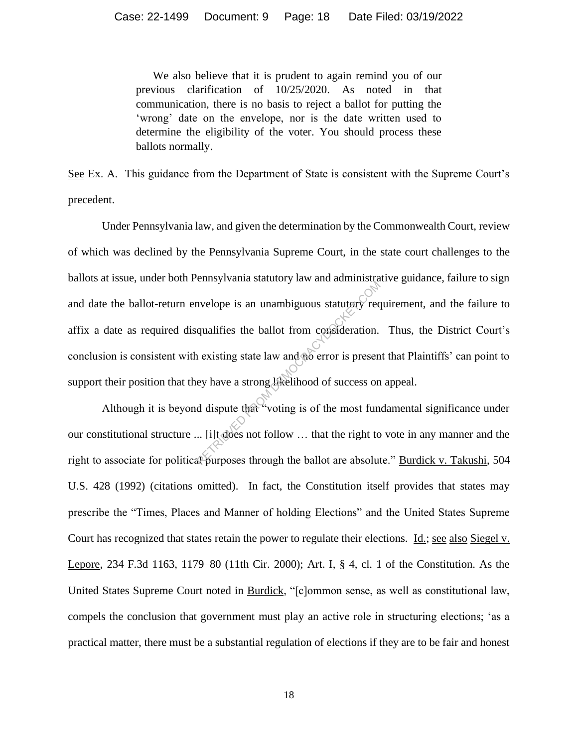We also believe that it is prudent to again remind you of our previous clarification of 10/25/2020. As noted in that communication, there is no basis to reject a ballot for putting the 'wrong' date on the envelope, nor is the date written used to determine the eligibility of the voter. You should process these ballots normally.

See Ex. A. This guidance from the Department of State is consistent with the Supreme Court's precedent.

Under Pennsylvania law, and given the determination by the Commonwealth Court, review of which was declined by the Pennsylvania Supreme Court, in the state court challenges to the ballots at issue, under both Pennsylvania statutory law and administrative guidance, failure to sign and date the ballot-return envelope is an unambiguous statutory requirement, and the failure to affix a date as required disqualifies the ballot from consideration. Thus, the District Court's conclusion is consistent with existing state law and no error is present that Plaintiffs' can point to support their position that they have a strong likelihood of success on appeal. EVERTIFY VALUE STATES STATES SERVICE THE VERTIFY THE MUNICIPY TECTOR (QUALIFIES the ballot from consideration.<br>
1 existing state law and the error is present ey have a strong likelihood of success on d dispute that "voting

Although it is beyond dispute that "voting is of the most fundamental significance under our constitutional structure ... [i]t does not follow … that the right to vote in any manner and the right to associate for political purposes through the ballot are absolute." Burdick v. Takushi, 504 U.S. 428 (1992) (citations omitted). In fact, the Constitution itself provides that states may prescribe the "Times, Places and Manner of holding Elections" and the United States Supreme Court has recognized that states retain the power to regulate their elections. Id.; see also Siegel v. Lepore, 234 F.3d 1163, 1179–80 (11th Cir. 2000); Art. I, § 4, cl. 1 of the Constitution. As the United States Supreme Court noted in Burdick, "[c]ommon sense, as well as constitutional law, compels the conclusion that government must play an active role in structuring elections; 'as a practical matter, there must be a substantial regulation of elections if they are to be fair and honest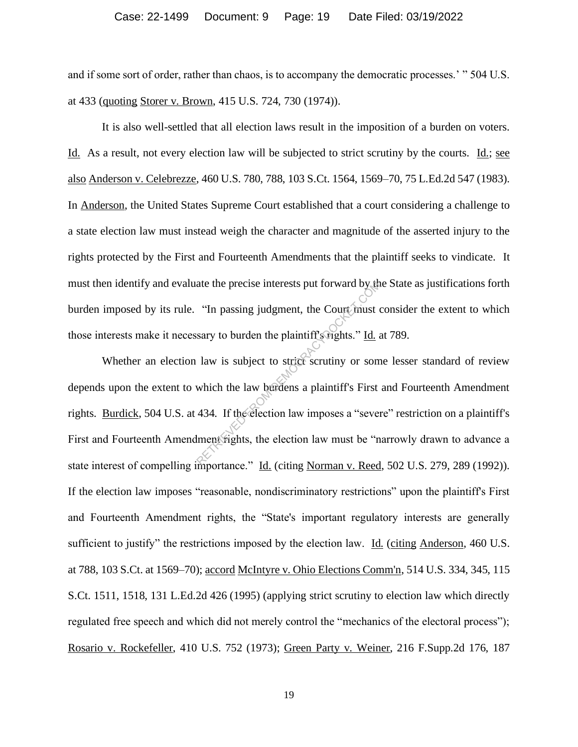and if some sort of order, rather than chaos, is to accompany the democratic processes.' " 504 U.S. at 433 (quoting Storer v. Brown, 415 U.S. 724, 730 (1974)).

It is also well-settled that all election laws result in the imposition of a burden on voters. Id. As a result, not every election law will be subjected to strict scrutiny by the courts. Id.; see also Anderson v. Celebrezze, 460 U.S. 780, 788, 103 S.Ct. 1564, 1569–70, 75 L.Ed.2d 547 (1983). In Anderson, the United States Supreme Court established that a court considering a challenge to a state election law must instead weigh the character and magnitude of the asserted injury to the rights protected by the First and Fourteenth Amendments that the plaintiff seeks to vindicate. It must then identify and evaluate the precise interests put forward by the State as justifications forth burden imposed by its rule. "In passing judgment, the Court must consider the extent to which those interests make it necessary to burden the plaintiff's rights." Id. at 789.

Whether an election law is subject to strict scrutiny or some lesser standard of review depends upon the extent to which the law burdens a plaintiff's First and Fourteenth Amendment rights. Burdick, 504 U.S. at 434. If the election law imposes a "severe" restriction on a plaintiff's First and Fourteenth Amendment rights, the election law must be "narrowly drawn to advance a state interest of compelling importance." Id. (citing Norman v. Reed, 502 U.S. 279, 289 (1992)). If the election law imposes "reasonable, nondiscriminatory restrictions" upon the plaintiff's First and Fourteenth Amendment rights, the "State's important regulatory interests are generally sufficient to justify" the restrictions imposed by the election law. Id. (citing Anderson, 460 U.S.) at 788, 103 S.Ct. at 1569–70); accord McIntyre v. Ohio Elections Comm'n, 514 U.S. 334, 345, 115 S.Ct. 1511, 1518, 131 L.Ed.2d 426 (1995) (applying strict scrutiny to election law which directly regulated free speech and which did not merely control the "mechanics of the electoral process"); Rosario v. Rockefeller, 410 U.S. 752 (1973); Green Party v. Weiner, 216 F.Supp.2d 176, 187 ate the precise interests put forward by the Court must<br>
"In passing judgment, the Court must of<br>
sary to burden the plaintiff strights." <u>Id.</u><br>
law is subject to strict scrutiny or somewhich the law burdens a plaintiff's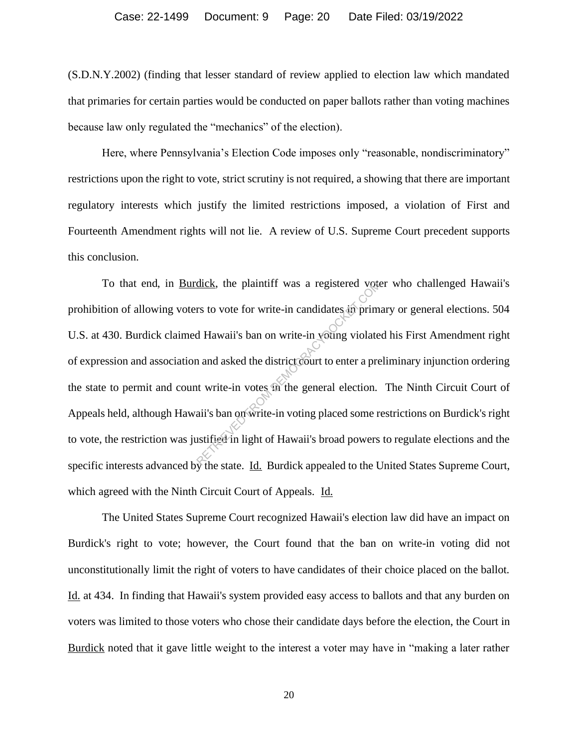(S.D.N.Y.2002) (finding that lesser standard of review applied to election law which mandated that primaries for certain parties would be conducted on paper ballots rather than voting machines because law only regulated the "mechanics" of the election).

Here, where Pennsylvania's Election Code imposes only "reasonable, nondiscriminatory" restrictions upon the right to vote, strict scrutiny is not required, a showing that there are important regulatory interests which justify the limited restrictions imposed, a violation of First and Fourteenth Amendment rights will not lie. A review of U.S. Supreme Court precedent supports this conclusion.

To that end, in Burdick, the plaintiff was a registered voter who challenged Hawaii's prohibition of allowing voters to vote for write-in candidates in primary or general elections. 504 U.S. at 430. Burdick claimed Hawaii's ban on write-in voting violated his First Amendment right of expression and association and asked the district court to enter a preliminary injunction ordering the state to permit and count write-in votes in the general election. The Ninth Circuit Court of Appeals held, although Hawaii's ban on write-in voting placed some restrictions on Burdick's right to vote, the restriction was justified in light of Hawaii's broad powers to regulate elections and the specific interests advanced by the state. Id. Burdick appealed to the United States Supreme Court, which agreed with the Ninth Circuit Court of Appeals. Id. dick, the plaintiff was a registered vote<br>
rs to vote for write-in candidates in prim<br>
d Hawaii's ban on write-in voting violate<br>
and asked the district court to enter a pre<br>
tu write-in votes in the general election.<br>
aii

The United States Supreme Court recognized Hawaii's election law did have an impact on Burdick's right to vote; however, the Court found that the ban on write-in voting did not unconstitutionally limit the right of voters to have candidates of their choice placed on the ballot. Id. at 434. In finding that Hawaii's system provided easy access to ballots and that any burden on voters was limited to those voters who chose their candidate days before the election, the Court in Burdick noted that it gave little weight to the interest a voter may have in "making a later rather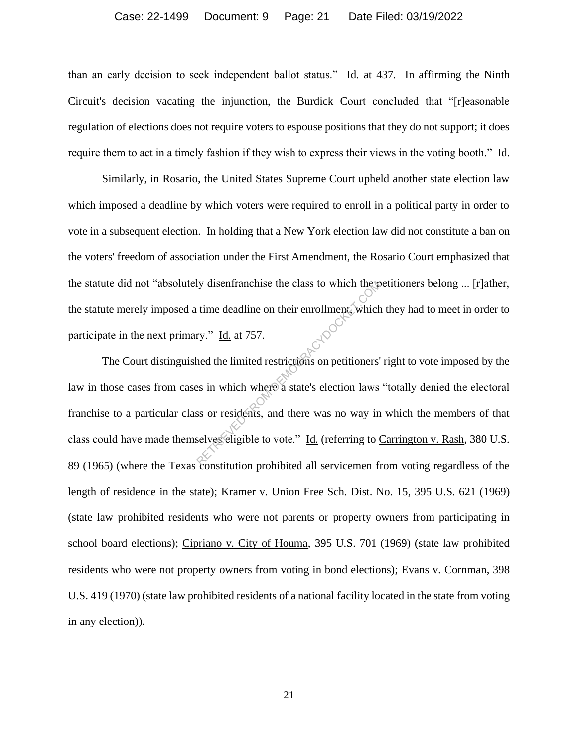than an early decision to seek independent ballot status." Id. at 437. In affirming the Ninth Circuit's decision vacating the injunction, the Burdick Court concluded that "[r]easonable regulation of elections does not require voters to espouse positions that they do not support; it does require them to act in a timely fashion if they wish to express their views in the voting booth." Id.

Similarly, in Rosario, the United States Supreme Court upheld another state election law which imposed a deadline by which voters were required to enroll in a political party in order to vote in a subsequent election. In holding that a New York election law did not constitute a ban on the voters' freedom of association under the First Amendment, the Rosario Court emphasized that the statute did not "absolutely disenfranchise the class to which the petitioners belong ... [r]ather, the statute merely imposed a time deadline on their enrollment, which they had to meet in order to participate in the next primary." Id. at 757.

The Court distinguished the limited restrictions on petitioners' right to vote imposed by the law in those cases from cases in which where a state's election laws "totally denied the electoral franchise to a particular class or residents, and there was no way in which the members of that class could have made themselves eligible to vote." Id. (referring to Carrington v. Rash, 380 U.S. 89 (1965) (where the Texas constitution prohibited all servicemen from voting regardless of the length of residence in the state); Kramer v. Union Free Sch. Dist. No. 15, 395 U.S. 621 (1969) (state law prohibited residents who were not parents or property owners from participating in school board elections); Cipriano v. City of Houma, 395 U.S. 701 (1969) (state law prohibited residents who were not property owners from voting in bond elections); Evans v. Cornman, 398 U.S. 419 (1970) (state law prohibited residents of a national facility located in the state from voting in any election)). Iy disentranchise the class to which themetical<br>time deadline on their enrollment, which<br>ry." Id. at 757.<br>hed the limited restrictions on petitioners'<br>es in which where a state's election laws<br>ss or residents, and there w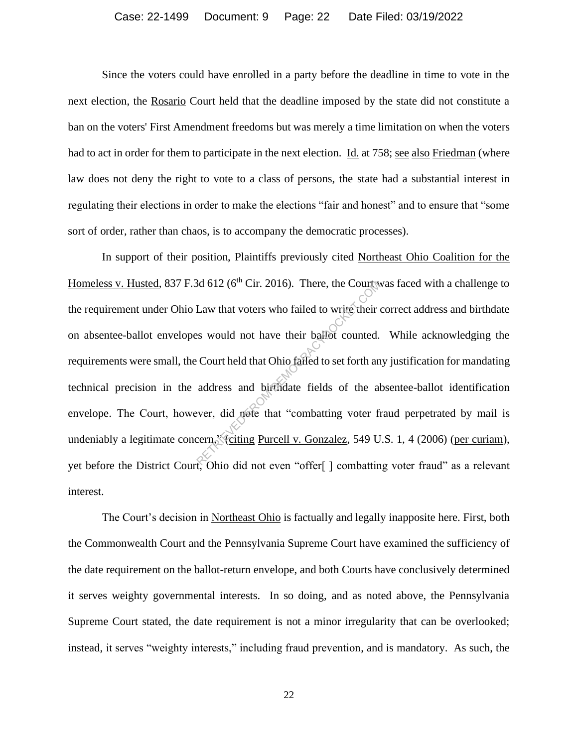Since the voters could have enrolled in a party before the deadline in time to vote in the next election, the Rosario Court held that the deadline imposed by the state did not constitute a ban on the voters' First Amendment freedoms but was merely a time limitation on when the voters had to act in order for them to participate in the next election. Id. at 758; see also Friedman (where law does not deny the right to vote to a class of persons, the state had a substantial interest in regulating their elections in order to make the elections "fair and honest" and to ensure that "some sort of order, rather than chaos, is to accompany the democratic processes).

In support of their position, Plaintiffs previously cited Northeast Ohio Coalition for the Homeless v. Husted, 837 F.3d 612 ( $6<sup>th</sup>$  Cir. 2016). There, the Court was faced with a challenge to the requirement under Ohio Law that voters who failed to write their correct address and birthdate on absentee-ballot envelopes would not have their ballot counted. While acknowledging the requirements were small, the Court held that Ohio failed to set forth any justification for mandating technical precision in the address and birthdate fields of the absentee-ballot identification envelope. The Court, however, did note that "combatting voter fraud perpetrated by mail is undeniably a legitimate concern, "citing Purcell v. Gonzalez, 549 U.S. 1, 4 (2006) (per curiam), yet before the District Court, Ohio did not even "offer[ ] combatting voter fraud" as a relevant interest. Sta 612 (6" Cir. 2016). There, the Court was<br>Law that voters who failed to write their<br>ss would not have their ballot counted.<br>Court held that Ohio failed to set forth an<br>address and birthdate fields of the al<br>ever, did n

The Court's decision in Northeast Ohio is factually and legally inapposite here. First, both the Commonwealth Court and the Pennsylvania Supreme Court have examined the sufficiency of the date requirement on the ballot-return envelope, and both Courts have conclusively determined it serves weighty governmental interests. In so doing, and as noted above, the Pennsylvania Supreme Court stated, the date requirement is not a minor irregularity that can be overlooked; instead, it serves "weighty interests," including fraud prevention, and is mandatory. As such, the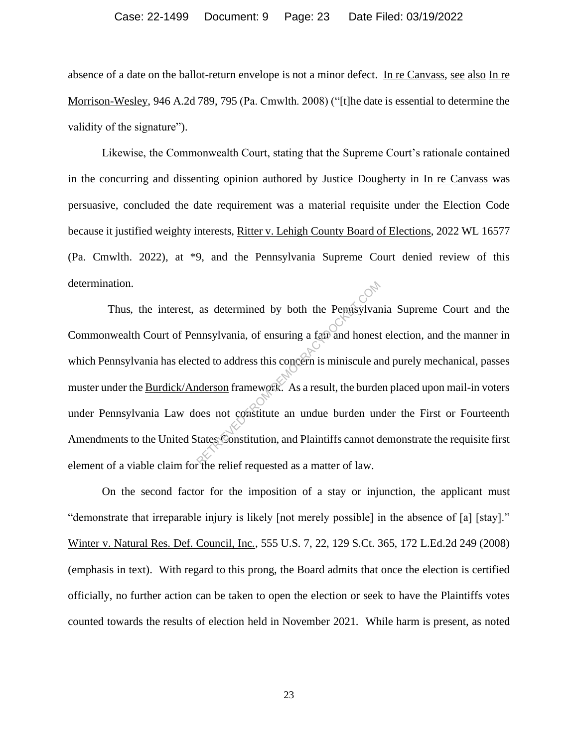absence of a date on the ballot-return envelope is not a minor defect. In re Canvass, see also In re Morrison-Wesley, 946 A.2d 789, 795 (Pa. Cmwlth. 2008) ("[t]he date is essential to determine the validity of the signature".

Likewise, the Commonwealth Court, stating that the Supreme Court's rationale contained in the concurring and dissenting opinion authored by Justice Dougherty in In re Canvass was persuasive, concluded the date requirement was a material requisite under the Election Code because it justified weighty interests, Ritter v. Lehigh County Board of Elections, 2022 WL 16577 (Pa. Cmwlth. 2022), at \*9, and the Pennsylvania Supreme Court denied review of this determination.

 Thus, the interest, as determined by both the Pennsylvania Supreme Court and the Commonwealth Court of Pennsylvania, of ensuring a fair and honest election, and the manner in which Pennsylvania has elected to address this concern is miniscule and purely mechanical, passes muster under the Burdick/Anderson framework. As a result, the burden placed upon mail-in voters under Pennsylvania Law does not constitute an undue burden under the First or Fourteenth Amendments to the United States Constitution, and Plaintiffs cannot demonstrate the requisite first element of a viable claim for the relief requested as a matter of law. as determined by both the Pennsylvan<br>
mnsylvania, of ensuring a fair and honest<br>
ted to address this concern is miniscule an<br>
nderson framework. As a result, the burde<br>
oes not constitute an undue burden un<br>
tates Constitu

On the second factor for the imposition of a stay or injunction, the applicant must "demonstrate that irreparable injury is likely [not merely possible] in the absence of [a] [stay]." Winter v. Natural Res. Def. Council, Inc., 555 U.S. 7, 22, 129 S.Ct. 365, 172 L.Ed.2d 249 (2008) (emphasis in text). With regard to this prong, the Board admits that once the election is certified officially, no further action can be taken to open the election or seek to have the Plaintiffs votes counted towards the results of election held in November 2021. While harm is present, as noted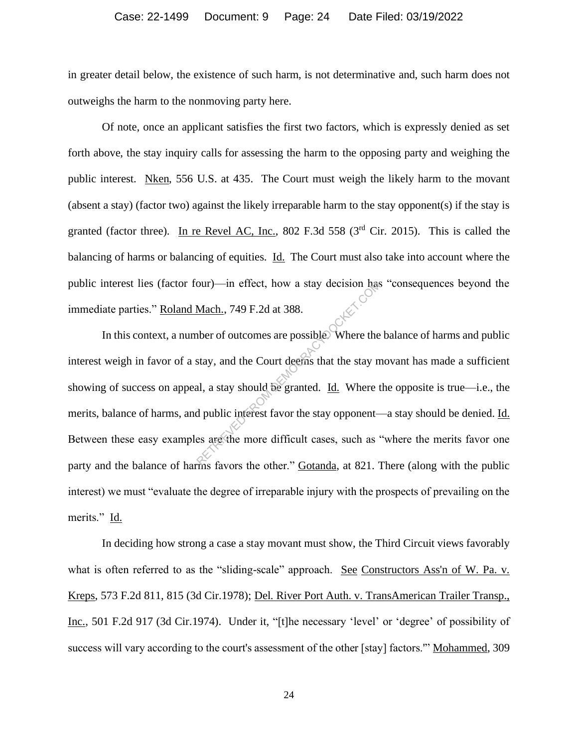in greater detail below, the existence of such harm, is not determinative and, such harm does not outweighs the harm to the nonmoving party here.

Of note, once an applicant satisfies the first two factors, which is expressly denied as set forth above, the stay inquiry calls for assessing the harm to the opposing party and weighing the public interest. Nken, 556 U.S. at 435. The Court must weigh the likely harm to the movant (absent a stay) (factor two) against the likely irreparable harm to the stay opponent(s) if the stay is granted (factor three). In re Revel AC, Inc., 802 F.3d 558 (3<sup>rd</sup> Cir. 2015). This is called the balancing of harms or balancing of equities. Id. The Court must also take into account where the public interest lies (factor four)—in effect, how a stay decision has "consequences beyond the immediate parties." Roland Mach., 749 F.2d at 388.

In this context, a number of outcomes are possible. Where the balance of harms and public interest weigh in favor of a stay, and the Court deems that the stay movant has made a sufficient showing of success on appeal, a stay should be granted. Id. Where the opposite is true—i.e., the merits, balance of harms, and public interest favor the stay opponent—a stay should be denied. Id. Between these easy examples are the more difficult cases, such as "where the merits favor one party and the balance of harms favors the other." Gotanda, at 821. There (along with the public interest) we must "evaluate the degree of irreparable injury with the prospects of prevailing on the merits." Id. our)—in effect, how a stay decision has<br>Mach., 749 F.2d at 388.<br>there of outcomes are possible. Where the<br>stay, and the Court deems that the stay n<br>al, a stay should be granted. <u>Id.</u> Where the<br>d public interest favor the

In deciding how strong a case a stay movant must show, the Third Circuit views favorably what is often referred to as the "sliding-scale" approach. See Constructors Ass'n of W. Pa. v. Kreps, 573 F.2d 811, 815 (3d Cir.1978); Del. River Port Auth. v. TransAmerican Trailer Transp., Inc., 501 F.2d 917 (3d Cir.1974). Under it, "[t]he necessary 'level' or 'degree' of possibility of success will vary according to the court's assessment of the other [stay] factors." Mohammed, 309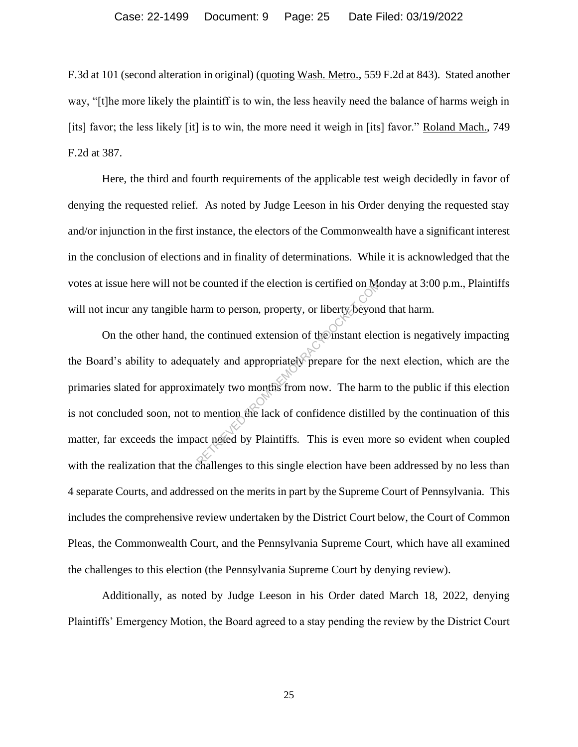F.3d at 101 (second alteration in original) (quoting Wash. Metro., 559 F.2d at 843). Stated another way, "[t]he more likely the plaintiff is to win, the less heavily need the balance of harms weigh in [its] favor; the less likely [it] is to win, the more need it weigh in [its] favor." Roland Mach., 749 F.2d at 387.

Here, the third and fourth requirements of the applicable test weigh decidedly in favor of denying the requested relief. As noted by Judge Leeson in his Order denying the requested stay and/or injunction in the first instance, the electors of the Commonwealth have a significant interest in the conclusion of elections and in finality of determinations. While it is acknowledged that the votes at issue here will not be counted if the election is certified on Monday at 3:00 p.m., Plaintiffs will not incur any tangible harm to person, property, or liberty beyond that harm.

On the other hand, the continued extension of the instant election is negatively impacting the Board's ability to adequately and appropriately prepare for the next election, which are the primaries slated for approximately two months from now. The harm to the public if this election is not concluded soon, not to mention the lack of confidence distilled by the continuation of this matter, far exceeds the impact noted by Plaintiffs. This is even more so evident when coupled with the realization that the challenges to this single election have been addressed by no less than 4 separate Courts, and addressed on the merits in part by the Supreme Court of Pennsylvania. This includes the comprehensive review undertaken by the District Court below, the Court of Common Pleas, the Commonwealth Court, and the Pennsylvania Supreme Court, which have all examined the challenges to this election (the Pennsylvania Supreme Court by denying review). e counted if the election is certified on Max<br>arm to person, property, or liberty beyon<br>ne continued extension of the instant electrical<br>tately and appropriately prepare for the<br>mately two months from now. The harm<br>o menti

Additionally, as noted by Judge Leeson in his Order dated March 18, 2022, denying Plaintiffs' Emergency Motion, the Board agreed to a stay pending the review by the District Court

25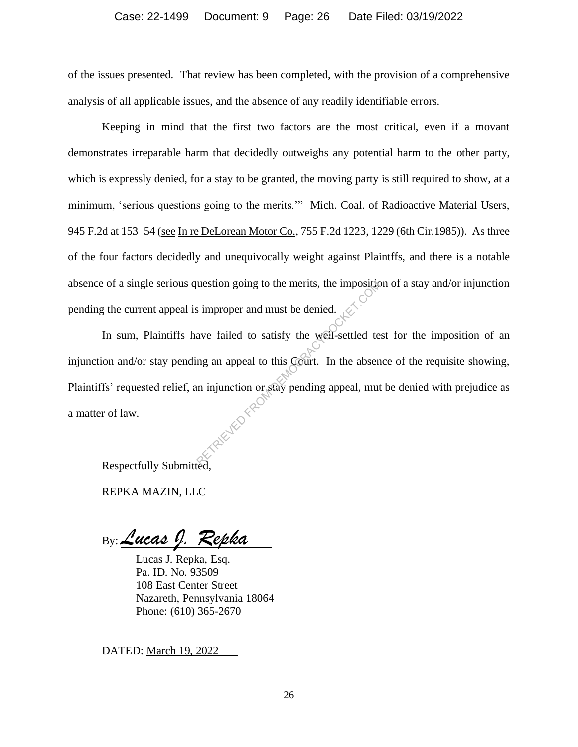of the issues presented. That review has been completed, with the provision of a comprehensive analysis of all applicable issues, and the absence of any readily identifiable errors.

Keeping in mind that the first two factors are the most critical, even if a movant demonstrates irreparable harm that decidedly outweighs any potential harm to the other party, which is expressly denied, for a stay to be granted, the moving party is still required to show, at a minimum, 'serious questions going to the merits.'" Mich. Coal. of Radioactive Material Users, 945 F.2d at 153–54 (see In re DeLorean Motor Co., 755 F.2d 1223, 1229 (6th Cir.1985)). As three of the four factors decidedly and unequivocally weight against Plaintffs, and there is a notable absence of a single serious question going to the merits, the imposition of a stay and/or injunction pending the current appeal is improper and must be denied.

In sum, Plaintiffs have failed to satisfy the well-settled test for the imposition of an injunction and/or stay pending an appeal to this Court. In the absence of the requisite showing, Plaintiffs' requested relief, an injunction or stay pending appeal, mut be denied with prejudice as a matter of law. The improper and must be denied.<br>Supported to satisfy the well-settled te<br>ng an appeal to this Gourt. In the absent<br>in injunction or stay pending appeal, mut

Respectfully Submitted,

REPKA MAZIN, LLC

By: *Lucas J. Repka*

Lucas J. Repka, Esq. Pa. ID. No. 93509 108 East Center Street Nazareth, Pennsylvania 18064 Phone: (610) 365-2670

DATED: March 19, 2022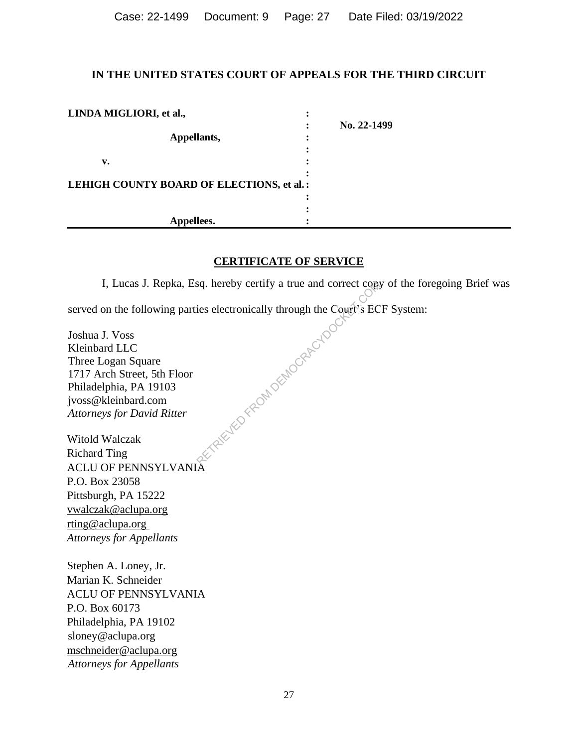Case: 22-1499 Document: 9 Page: 27 Date Filed: 03/19/2022

## **IN THE UNITED STATES COURT OF APPEALS FOR THE THIRD CIRCUIT**

| LINDA MIGLIORI, et al.,                   |             |
|-------------------------------------------|-------------|
|                                           | No. 22-1499 |
| Appellants,                               |             |
|                                           |             |
| v.                                        |             |
|                                           |             |
| LEHIGH COUNTY BOARD OF ELECTIONS, et al.: |             |
|                                           |             |
|                                           |             |
| Appellees.                                |             |

## **CERTIFICATE OF SERVICE**

I, Lucas J. Repka, Esq. hereby certify a true and correct copy of the foregoing Brief was served on the following parties electronically through the Court's ECF System: TRIEVED FROM DEMOCRACYDOCK

Joshua J. Voss Kleinbard LLC Three Logan Square 1717 Arch Street, 5th Floor Philadelphia, PA 19103 jvoss@kleinbard.com *Attorneys for David Ritter*

Witold Walczak Richard Ting ACLU OF PENNSYLVANIA P.O. Box 23058 Pittsburgh, PA 15222 vwalczak@aclupa.org rting@aclupa.org *Attorneys for Appellants*

Stephen A. Loney, Jr. Marian K. Schneider ACLU OF PENNSYLVANIA P.O. Box 60173 Philadelphia, PA 19102 sloney@aclupa.org mschneider@aclupa.org *Attorneys for Appellants*